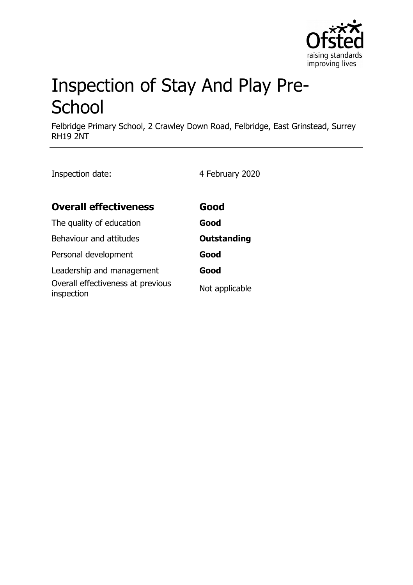

# Inspection of Stay And Play Pre-**School**

Felbridge Primary School, 2 Crawley Down Road, Felbridge, East Grinstead, Surrey RH19 2NT

Inspection date: 4 February 2020

| <b>Overall effectiveness</b>                    | Good               |
|-------------------------------------------------|--------------------|
| The quality of education                        | Good               |
| Behaviour and attitudes                         | <b>Outstanding</b> |
| Personal development                            | Good               |
| Leadership and management                       | Good               |
| Overall effectiveness at previous<br>inspection | Not applicable     |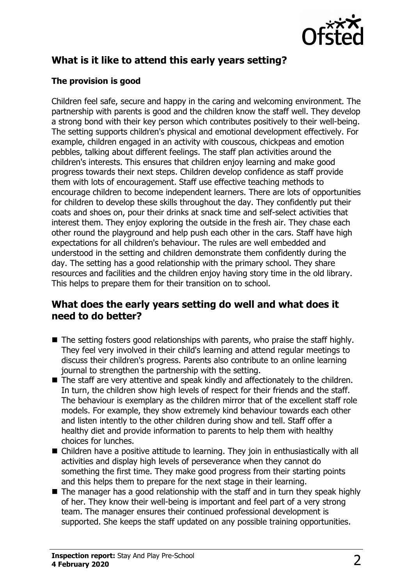

# **What is it like to attend this early years setting?**

### **The provision is good**

Children feel safe, secure and happy in the caring and welcoming environment. The partnership with parents is good and the children know the staff well. They develop a strong bond with their key person which contributes positively to their well-being. The setting supports children's physical and emotional development effectively. For example, children engaged in an activity with couscous, chickpeas and emotion pebbles, talking about different feelings. The staff plan activities around the children's interests. This ensures that children enjoy learning and make good progress towards their next steps. Children develop confidence as staff provide them with lots of encouragement. Staff use effective teaching methods to encourage children to become independent learners. There are lots of opportunities for children to develop these skills throughout the day. They confidently put their coats and shoes on, pour their drinks at snack time and self-select activities that interest them. They enjoy exploring the outside in the fresh air. They chase each other round the playground and help push each other in the cars. Staff have high expectations for all children's behaviour. The rules are well embedded and understood in the setting and children demonstrate them confidently during the day. The setting has a good relationship with the primary school. They share resources and facilities and the children enjoy having story time in the old library. This helps to prepare them for their transition on to school.

## **What does the early years setting do well and what does it need to do better?**

- $\blacksquare$  The setting fosters good relationships with parents, who praise the staff highly. They feel very involved in their child's learning and attend regular meetings to discuss their children's progress. Parents also contribute to an online learning journal to strengthen the partnership with the setting.
- $\blacksquare$  The staff are very attentive and speak kindly and affectionately to the children. In turn, the children show high levels of respect for their friends and the staff. The behaviour is exemplary as the children mirror that of the excellent staff role models. For example, they show extremely kind behaviour towards each other and listen intently to the other children during show and tell. Staff offer a healthy diet and provide information to parents to help them with healthy choices for lunches.
- $\blacksquare$  Children have a positive attitude to learning. They join in enthusiastically with all activities and display high levels of perseverance when they cannot do something the first time. They make good progress from their starting points and this helps them to prepare for the next stage in their learning.
- $\blacksquare$  The manager has a good relationship with the staff and in turn they speak highly of her. They know their well-being is important and feel part of a very strong team. The manager ensures their continued professional development is supported. She keeps the staff updated on any possible training opportunities.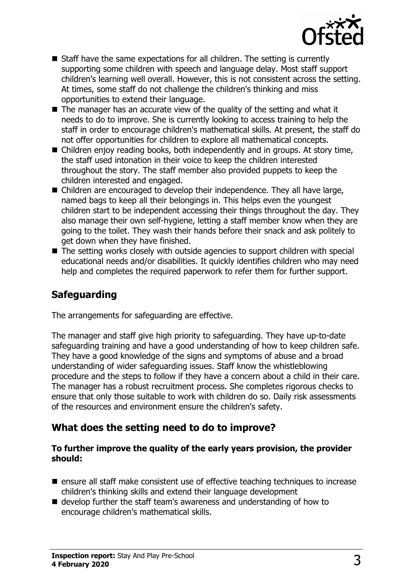

- $\blacksquare$  Staff have the same expectations for all children. The setting is currently supporting some children with speech and language delay. Most staff support children's learning well overall. However, this is not consistent across the setting. At times, some staff do not challenge the children's thinking and miss opportunities to extend their language.
- $\blacksquare$  The manager has an accurate view of the quality of the setting and what it needs to do to improve. She is currently looking to access training to help the staff in order to encourage children's mathematical skills. At present, the staff do not offer opportunities for children to explore all mathematical concepts.
- $\blacksquare$  Children enjoy reading books, both independently and in groups. At story time, the staff used intonation in their voice to keep the children interested throughout the story. The staff member also provided puppets to keep the children interested and engaged.
- $\blacksquare$  Children are encouraged to develop their independence. They all have large, named bags to keep all their belongings in. This helps even the youngest children start to be independent accessing their things throughout the day. They also manage their own self-hygiene, letting a staff member know when they are going to the toilet. They wash their hands before their snack and ask politely to get down when they have finished.
- $\blacksquare$  The setting works closely with outside agencies to support children with special educational needs and/or disabilities. It quickly identifies children who may need help and completes the required paperwork to refer them for further support.

# **Safeguarding**

The arrangements for safeguarding are effective.

The manager and staff give high priority to safeguarding. They have up-to-date safeguarding training and have a good understanding of how to keep children safe. They have a good knowledge of the signs and symptoms of abuse and a broad understanding of wider safeguarding issues. Staff know the whistleblowing procedure and the steps to follow if they have a concern about a child in their care. The manager has a robust recruitment process. She completes rigorous checks to ensure that only those suitable to work with children do so. Daily risk assessments of the resources and environment ensure the children's safety.

## **What does the setting need to do to improve?**

#### **To further improve the quality of the early years provision, the provider should:**

- ensure all staff make consistent use of effective teaching techniques to increase children's thinking skills and extend their language development
- $\blacksquare$  develop further the staff team's awareness and understanding of how to encourage children's mathematical skills.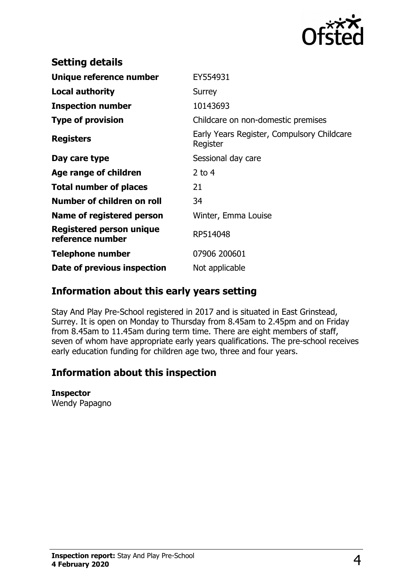

| <b>Setting details</b>                              |                                                        |
|-----------------------------------------------------|--------------------------------------------------------|
| Unique reference number                             | EY554931                                               |
| <b>Local authority</b>                              | <b>Surrey</b>                                          |
| <b>Inspection number</b>                            | 10143693                                               |
| <b>Type of provision</b>                            | Childcare on non-domestic premises                     |
| <b>Registers</b>                                    | Early Years Register, Compulsory Childcare<br>Register |
| Day care type                                       | Sessional day care                                     |
| Age range of children                               | 2 to $4$                                               |
| <b>Total number of places</b>                       | 21                                                     |
| Number of children on roll                          | 34                                                     |
| Name of registered person                           | Winter, Emma Louise                                    |
| <b>Registered person unique</b><br>reference number | RP514048                                               |
| <b>Telephone number</b>                             | 07906 200601                                           |
| Date of previous inspection                         | Not applicable                                         |

## **Information about this early years setting**

Stay And Play Pre-School registered in 2017 and is situated in East Grinstead, Surrey. It is open on Monday to Thursday from 8.45am to 2.45pm and on Friday from 8.45am to 11.45am during term time. There are eight members of staff, seven of whom have appropriate early years qualifications. The pre-school receives early education funding for children age two, three and four years.

# **Information about this inspection**

#### **Inspector**

Wendy Papagno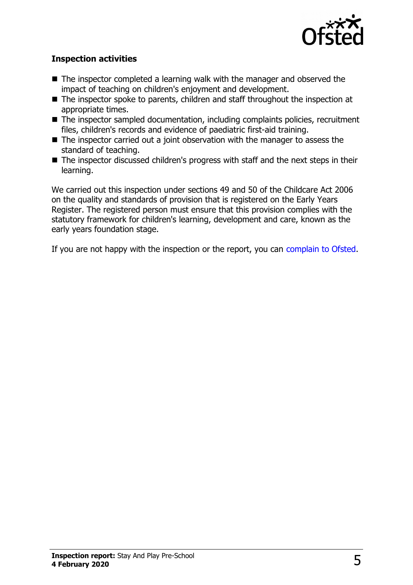

#### **Inspection activities**

- $\blacksquare$  The inspector completed a learning walk with the manager and observed the impact of teaching on children's enjoyment and development.
- $\blacksquare$  The inspector spoke to parents, children and staff throughout the inspection at appropriate times.
- $\blacksquare$  The inspector sampled documentation, including complaints policies, recruitment files, children's records and evidence of paediatric first-aid training.
- $\blacksquare$  The inspector carried out a joint observation with the manager to assess the standard of teaching.
- $\blacksquare$  The inspector discussed children's progress with staff and the next steps in their learning.

We carried out this inspection under sections 49 and 50 of the Childcare Act 2006 on the quality and standards of provision that is registered on the Early Years Register. The registered person must ensure that this provision complies with the statutory framework for children's learning, development and care, known as the early years foundation stage.

If you are not happy with the inspection or the report, you can [complain to Ofsted.](http://www.gov.uk/complain-ofsted-report)